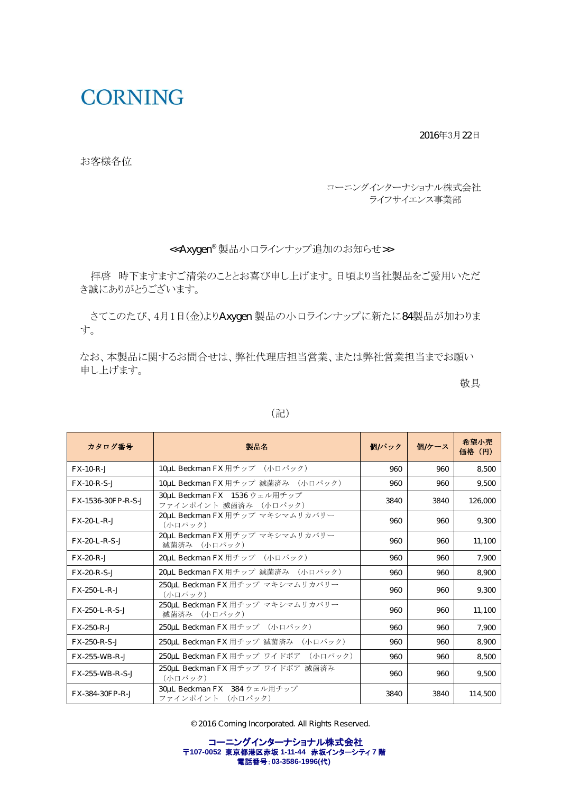## **CORNING**

2016年3月22日

お客様各位

## コーニングインターナショナル株式会社 ライフサイエンス事業部

<< Axygen® 製品小ロラインナップ追加のお知らせ>>

拝啓 時下ますますご清栄のこととお喜び申し上げます。日頃より当社製品をご愛用いただ き誠にありがとうございます。

さてこのたび、4月1日(金)よりAxygen 製品の小ロラインナップに新たに84製品が加わりま 寸。

なお、本製品に関するお問合せは、弊社代理店担当営業、または弊社営業担当までお願い 申し上げます。

これは アンディア アクセス しょうしょう こうしょう こうしょう かいしょう 敬具

| カタログ番号             | 製品名                                                   | 個パック | 個/ケース | 希望小売<br>価格 (円) |
|--------------------|-------------------------------------------------------|------|-------|----------------|
| $FX-10-R-J$        | 10µL Beckman FX 用チップ (小ロパック)                          | 960  | 960   | 8,500          |
| $FX-10-R-S-J$      | 10µL Beckman FX 用チップ 滅菌済み (小ロパック)                     | 960  | 960   | 9.500          |
| FX-1536-30FP-R-S-J | 30µL Beckman FX 1536 ウェル用チップ<br>ファインポイント 滅菌済み (小ロパック) | 3840 | 3840  | 126,000        |
| $FX-20-L-R-J$      | 20µL Beckman FX 用チップ マキシマムリカバリー<br>(小口パック)            | 960  | 960   | 9.300          |
| FX-20-L-R-S-J      | 20µL Beckman FX 用チップ マキシマムリカバリー<br>滅菌済み (小ロパック)       | 960  | 960   | 11,100         |
| $FX-20-R-J$        | 20µL Beckman FX 用チップ (小ロパック)                          | 960  | 960   | 7,900          |
| $FX-20-R-S-J$      | 20µL Beckman FX 用チップ 滅菌済み (小ロパック)                     | 960  | 960   | 8.900          |
| $FX-250-L-R-J$     | 250uL Beckman FX 用チップ マキシマムリカバリー<br>(小口パック)           | 960  | 960   | 9.300          |
| FX-250-L-R-S-J     | 250µL Beckman FX 用チップ マキシマムリカバリー<br>滅菌済み (小ロパック)      | 960  | 960   | 11.100         |
| $FX-250-R-J$       | 250µL Beckman FX 用チップ (小ロパック)                         | 960  | 960   | 7,900          |
| $FX-250-R-S-J$     | 250µL Beckman FX 用チップ 滅菌済み (小ロパック)                    | 960  | 960   | 8,900          |
| FX-255-WB-R-J      | 250µL Beckman FX 用チップ ワイドボア (小ロパック)                   | 960  | 960   | 8,500          |
| FX-255-WB-R-S-J    | 250µL Beckman FX 用チップ ワイドボア 滅菌済み<br>(小口パック)           | 960  | 960   | 9,500          |
| FX-384-30FP-R-J    | 30µL Beckman FX 384 ウェル用チップ<br>ファインポイント (小口パック)       | 3840 | 3840  | 114,500        |

## (記)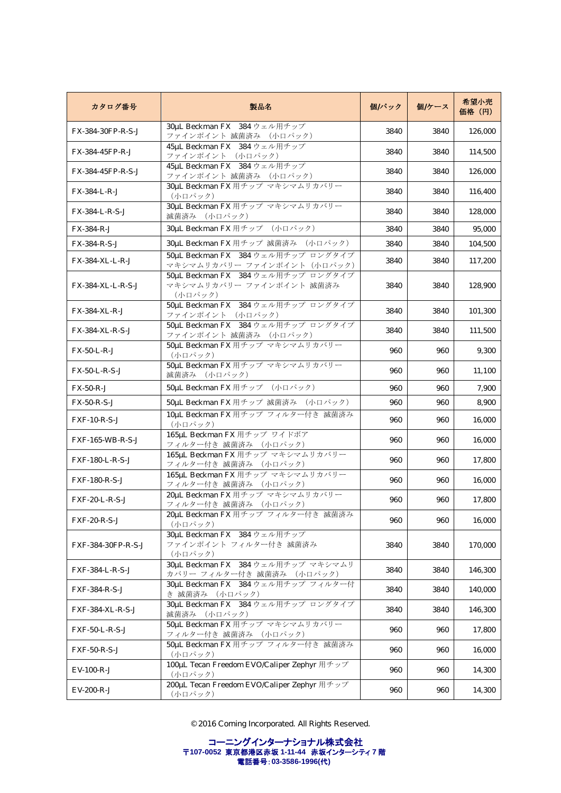| カタログ番号                | 製品名                                                                       | 個パック | 個/ケース | 希望小売<br>価格 (円) |
|-----------------------|---------------------------------------------------------------------------|------|-------|----------------|
| FX-384-30FP-R-S-J     | 30µL Beckman FX 384 ウェル用チップ<br>ファインポイント 滅菌済み (小ロパック)                      | 3840 | 3840  | 126,000        |
| FX-384-45FP-R-J       | 45µL Beckman FX 384 ウェル用チップ<br>ファインポイント (小口パック)                           | 3840 | 3840  | 114,500        |
| FX-384-45FP-R-S-J     | 45µL Beckman FX 384 ウェル用チップ<br>ファインポイント 滅菌済み (小ロパック)                      | 3840 | 3840  | 126,000        |
| FX-384-L-R-J          | 30µL Beckman FX 用チップ マキシマムリカバリー<br>(小口パック)                                | 3840 | 3840  | 116,400        |
| FX-384-L-R-S-J        | 30µL Beckman FX 用チップ マキシマムリカバリー<br>滅菌済み (小口パック)                           | 3840 | 3840  | 128,000        |
| FX-384-R-J            | 30µL Beckman FX 用チップ (小ロパック)                                              | 3840 | 3840  | 95,000         |
| FX-384-R-S-J          | 30µL Beckman FX 用チップ 滅菌済み (小ロパック)                                         | 3840 | 3840  | 104,500        |
| FX-384-XL-L-R-J       | 50µL Beckman FX 384 ウェル用チップ ロングタイプ<br>マキシマムリカバリー ファインポイント (小口パック)         | 3840 | 3840  | 117,200        |
| FX-384-XL-L-R-S-J     | 50uL Beckman FX 384 ウェル用チップ ロングタイプ<br>マキシマムリカバリー ファインポイント 滅菌済み<br>(小口パック) | 3840 | 3840  | 128,900        |
| FX-384-XL-R-J         | 50µL Beckman FX 384 ウェル用チップ ロングタイプ<br>ファインポイント (小口パック)                    | 3840 | 3840  | 101,300        |
| FX-384-XL-R-S-J       | 50µL Beckman FX 384 ウェル用チップ ロングタイプ<br>ファインポイント 滅菌済み (小ロパック)               | 3840 | 3840  | 111,500        |
| FX-50-L-R-J           | 50µL Beckman FX 用チップ マキシマムリカバリー<br>(小口パック)                                | 960  | 960   | 9.300          |
| FX-50-L-R-S-J         | 50uL Beckman FX 用チップ マキシマムリカバリー<br>滅菌済み (小口パック)                           | 960  | 960   | 11,100         |
| <b>FX-50-R-J</b>      | 50µL Beckman FX 用チップ (小ロパック)                                              | 960  | 960   | 7,900          |
| <b>FX-50-R-S-J</b>    | 50µL Beckman FX 用チップ 滅菌済み (小ロパック)                                         | 960  | 960   | 8,900          |
| <b>FXF-10-R-S-J</b>   | 10µL Beckman FX 用チップ フィルター付き 滅菌済み<br>(小口パック)                              | 960  | 960   | 16,000         |
| FXF-165-WB-R-S-J      | 165µL Beckman FX 用チップ ワイドボア<br>フィルター付き 滅菌済み (小ロパック)                       | 960  | 960   | 16,000         |
| FXF-180-L-R-S-J       | 165µL Beckman FX 用チップ マキシマムリカバリー<br>フィルター付き 滅菌済み (小ロパック)                  | 960  | 960   | 17,800         |
| <b>FXF-180-R-S-J</b>  | 165µL Beckman FX 用チップ マキシマムリカバリー<br>フィルター付き 滅菌済み (小ロパック)                  | 960  | 960   | 16,000         |
| <b>FXF-20-L-R-S-J</b> | 20µL Beckman FX 用チップ マキシマムリカバリー<br>フィルター付き 滅菌済み (小ロパック)                   | 960  | 960   | 17,800         |
| <b>FXF-20-R-S-J</b>   | 20µL Beckman FX 用チップ フィルター付き 滅菌済み<br>(小口パック)                              | 960  | 960   | 16,000         |
| FXF-384-30FP-R-S-J    | 30µL Beckman FX 384 ウェル用チップ<br>ファインポイント フィルター付き 滅菌済み<br>(小口パック)           | 3840 | 3840  | 170,000        |
| FXF-384-L-R-S-J       | 30µL Beckman FX 384 ウェル用チップ マキシマムリ<br>カバリー フィルター付き 滅菌済み (小ロパック)           | 3840 | 3840  | 146,300        |
| FXF-384-R-S-J         | 30µL Beckman FX 384 ウェル用チップ フィルター付<br>き 滅菌済み (小ロパック)                      | 3840 | 3840  | 140,000        |
| FXF-384-XL-R-S-J      | 30µL Beckman FX 384 ウェル用チップ ロングタイプ<br>滅菌済み (小口パック)                        | 3840 | 3840  | 146,300        |
| FXF-50-L-R-S-J        | 50µL Beckman FX 用チップ マキシマムリカバリー<br>フィルター付き 滅菌済み (小ロパック)                   | 960  | 960   | 17,800         |
| <b>FXF-50-R-S-J</b>   | 50µL Beckman FX 用チップ フィルター付き 滅菌済み<br>(小口パック)                              | 960  | 960   | 16,000         |
| EV-100-R-J            | 100µL Tecan Freedom EVO/Caliper Zephyr 用チップ<br>(小口パック)                    | 960  | 960   | 14,300         |
| EV-200-R-J            | 200µL Tecan Freedom EVO/Caliper Zephyr 用チップ<br>(小口パック)                    | 960  | 960   | 14,300         |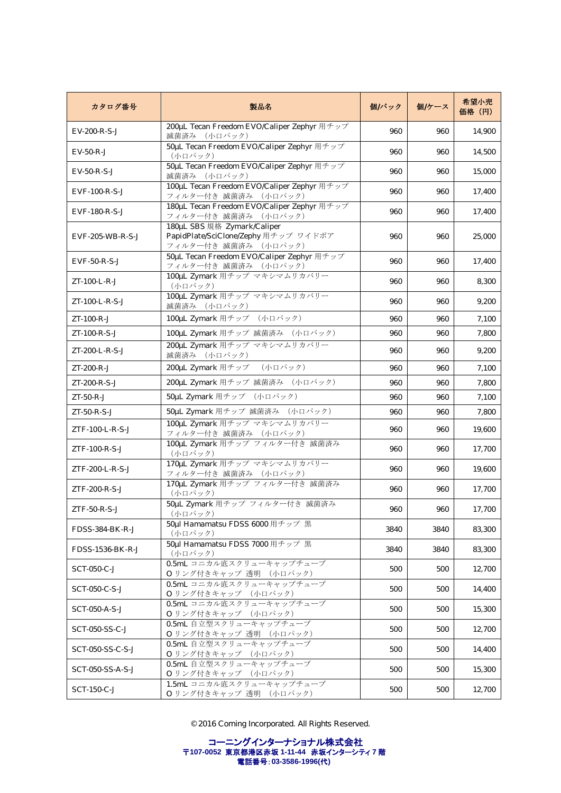| カタログ番号           | 製品名                                                                                         | 個パック | 個/ケース | 希望小売<br>価格 (円) |
|------------------|---------------------------------------------------------------------------------------------|------|-------|----------------|
| EV-200-R-S-J     | 200µL Tecan Freedom EVO/Caliper Zephyr 用チップ<br>減菌済み (小ロパック)                                 | 960  | 960   | 14,900         |
| EV-50-R-J        | 50µL Tecan Freedom EVO/Caliper Zephyr 用チップ<br>(小口パック)                                       | 960  | 960   | 14,500         |
| EV-50-R-S-J      | 50µL Tecan Freedom EVO/Caliper Zephyr 用チップ<br>減菌済み (小口パック)                                  | 960  | 960   | 15,000         |
| EVF-100-R-S-J    | 100µL Tecan Freedom EVO/Caliper Zephyr 用チップ<br>フィルター付き 滅菌済み (小ロパック)                         | 960  | 960   | 17,400         |
| EVF-180-R-S-J    | 180µL Tecan Freedom EVO/Caliper Zephyr 用チップ<br>フィルター付き 滅菌済み (小ロパック)                         | 960  | 960   | 17,400         |
| EVF-205-WB-R-S-J | 180µL SBS 規格 Zymark/Caliper<br>PapidPlate/SciClone/Zephy 用チップ ワイドボア<br>フィルター付き 滅菌済み (小ロパック) | 960  | 960   | 25,000         |
| EVF-50-R-S-J     | 50µL Tecan Freedom EVO/Caliper Zephyr 用チップ<br>フィルター付き 滅菌済み (小ロパック)                          | 960  | 960   | 17,400         |
| ZT-100-L-R-J     | 100µL Zymark 用チップ マキシマムリカバリー<br>(小口パック)                                                     | 960  | 960   | 8,300          |
| ZT-100-L-R-S-J   | 100µL Zymark 用チップ マキシマムリカバリー<br>滅菌済み (小ロパック)                                                | 960  | 960   | 9,200          |
| ZT-100-R-J       | 100µL Zymark 用チップ (小ロパック)                                                                   | 960  | 960   | 7,100          |
| ZT-100-R-S-J     | 100µL Zymark 用チップ 滅菌済み (小ロパック)                                                              | 960  | 960   | 7,800          |
| ZT-200-L-R-S-J   | 200µL Zymark 用チップ マキシマムリカバリー<br>減菌済み (小口パック)                                                | 960  | 960   | 9,200          |
| ZT-200-R-J       | 200µL Zymark 用チップ (小ロパック)                                                                   | 960  | 960   | 7,100          |
| ZT-200-R-S-J     | 200µL Zymark 用チップ 滅菌済み (小ロパック)                                                              | 960  | 960   | 7,800          |
| ZT-50-R-J        | 50µL Zymark 用チップ (小ロパック)                                                                    | 960  | 960   | 7,100          |
| ZT-50-R-S-J      | 50µL Zymark 用チップ 滅菌済み (小ロパック)                                                               | 960  | 960   | 7,800          |
| ZTF-100-L-R-S-J  | 100µL Zymark 用チップ マキシマムリカバリー<br>フィルター付き 滅菌済み (小ロパック)                                        | 960  | 960   | 19,600         |
| ZTF-100-R-S-J    | 100µL Zymark 用チップ フィルター付き 滅菌済み<br>(小口パック)                                                   | 960  | 960   | 17,700         |
| ZTF-200-L-R-S-J  | 170µL Zymark 用チップ マキシマムリカバリー<br>フィルター付き 滅菌済み (小ロパック)                                        | 960  | 960   | 19,600         |
| ZTF-200-R-S-J    | 170µL Zymark 用チップ フィルター付き 滅菌済み<br>(小口パック)                                                   | 960  | 960   | 17,700         |
| ZTF-50-R-S-J     | 50µL Zymark 用チップ フィルター付き 滅菌済み<br>(小口パック)                                                    | 960  | 960   | 17,700         |
| FDSS-384-BK-R-J  | 50µI Hamamatsu FDSS 6000 用チップ 黒<br>(小口パック)                                                  | 3840 | 3840  | 83,300         |
| FDSS-1536-BK-R-J | 50µI Hamamatsu FDSS 7000 用チップ 黒<br>(小口パック)                                                  | 3840 | 3840  | 83,300         |
| SCT-050-C-J      | 0.5mL コニカル底スクリューキャップチューブ<br>O リング付きキャップ 透明 (小ロパック)                                          | 500  | 500   | 12,700         |
| SCT-050-C-S-J    | 0.5mL コニカル底スクリューキャップチューブ<br>Oリング付きキャップ (小ロパック)                                              | 500  | 500   | 14,400         |
| SCT-050-A-S-J    | 0.5mL コニカル底スクリューキャップチューブ<br>Oリング付きキャップ (小ロパック)                                              | 500  | 500   | 15,300         |
| SCT-050-SS-C-J   | 0.5mL 自立型スクリューキャップチューブ<br>Oリング付きキャップ 透明 (小ロパック)                                             | 500  | 500   | 12,700         |
| SCT-050-SS-C-S-J | 0.5mL 自立型スクリューキャップチューブ<br>Oリング付きキャップ (小ロパック)                                                | 500  | 500   | 14,400         |
| SCT-050-SS-A-S-J | 0.5mL 自立型スクリューキャップチューブ<br>Oリング付きキャップ (小口パック)                                                | 500  | 500   | 15,300         |
| SCT-150-C-J      | 1.5mL コニカル底スクリューキャップチューブ<br>○リング付きキャップ 透明 (小ロパック)                                           | 500  | 500   | 12,700         |